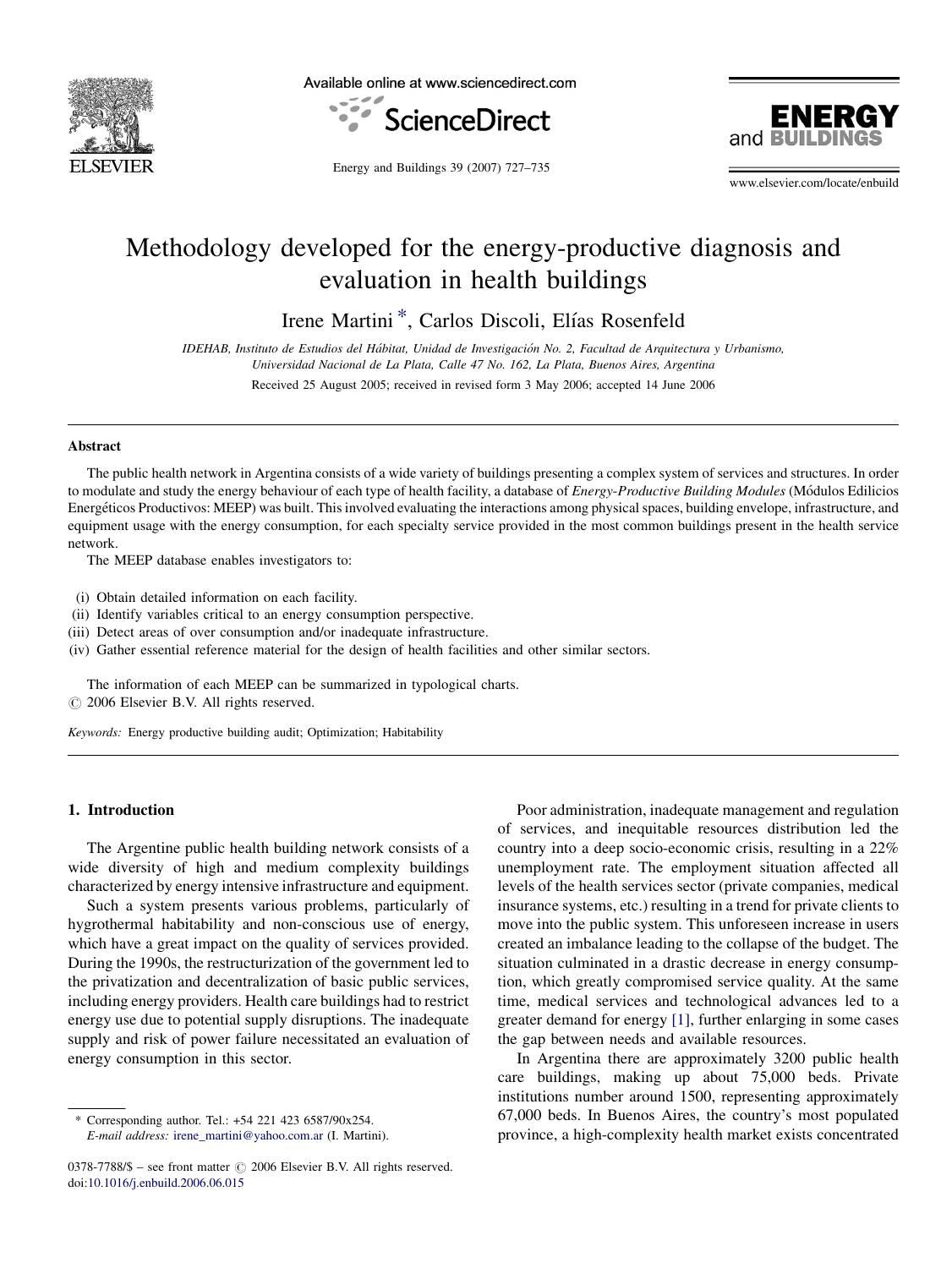

Available online at www.sciencedirect.com





Energy and Buildings 39 (2007) 727–735

www.elsevier.com/locate/enbuild

## Methodology developed for the energy-productive diagnosis and evaluation in health buildings

Irene Martini<sup>\*</sup>, Carlos Discoli, Elías Rosenfeld

IDEHAB, Instituto de Estudios del Hábitat, Unidad de Investigación No. 2, Facultad de Arquitectura y Urbanismo, Universidad Nacional de La Plata, Calle 47 No. 162, La Plata, Buenos Aires, Argentina

Received 25 August 2005; received in revised form 3 May 2006; accepted 14 June 2006

#### **Abstract**

The public health network in Argentina consists of a wide variety of buildings presenting a complex system of services and structures. In order to modulate and study the energy behaviour of each type of health facility, a database of *Energy-Productive Building Modules* (Módulos Edilicios Energéticos Productivos: MEEP) was built. This involved evaluating the interactions among physical spaces, building envelope, infrastructure, and equipment usage with the energy consumption, for each specialty service provided in the most common buildings present in the health service network.

The MEEP database enables investigators to:

- (i) Obtain detailed information on each facility.
- (ii) Identify variables critical to an energy consumption perspective.
- (iii) Detect areas of over consumption and/or inadequate infrastructure.
- (iv) Gather essential reference material for the design of health facilities and other similar sectors.

The information of each MEEP can be summarized in typological charts.

 $\odot$  2006 Elsevier B.V. All rights reserved.

Keywords: Energy productive building audit; Optimization; Habitability

#### 1. Introduction

The Argentine public health building network consists of a wide diversity of high and medium complexity buildings characterized by energy intensive infrastructure and equipment.

Such a system presents various problems, particularly of hygrothermal habitability and non-conscious use of energy, which have a great impact on the quality of services provided. During the 1990s, the restructurization of the government led to the privatization and decentralization of basic public services, including energy providers. Health care buildings had to restrict energy use due to potential supply disruptions. The inadequate supply and risk of power failure necessitated an evaluation of energy consumption in this sector.

Poor administration, inadequate management and regulation of services, and inequitable resources distribution led the country into a deep socio-economic crisis, resulting in a 22% unemployment rate. The employment situation affected all levels of the health services sector (private companies, medical insurance systems, etc.) resulting in a trend for private clients to move into the public system. This unforeseen increase in users created an imbalance leading to the collapse of the budget. The situation culminated in a drastic decrease in energy consumption, which greatly compromised service quality. At the same time, medical services and technological advances led to a greater demand for energy [\[1\],](#page--1-0) further enlarging in some cases the gap between needs and available resources.

In Argentina there are approximately 3200 public health care buildings, making up about 75,000 beds. Private institutions number around 1500, representing approximately 67,000 beds. In Buenos Aires, the country's most populated province, a high-complexity health market exists concentrated

Corresponding author. Tel.: +54 221 423 6587/90x254. E-mail address: [irene\\_martini@yahoo.com.ar](mailto:irene_martini@yahoo.com.ar) (I. Martini).

 $0378-7788/\$  – see front matter  $\odot$  2006 Elsevier B.V. All rights reserved. doi:[10.1016/j.enbuild.2006.06.015](http://dx.doi.org/10.1016/j.enbuild.2006.06.015)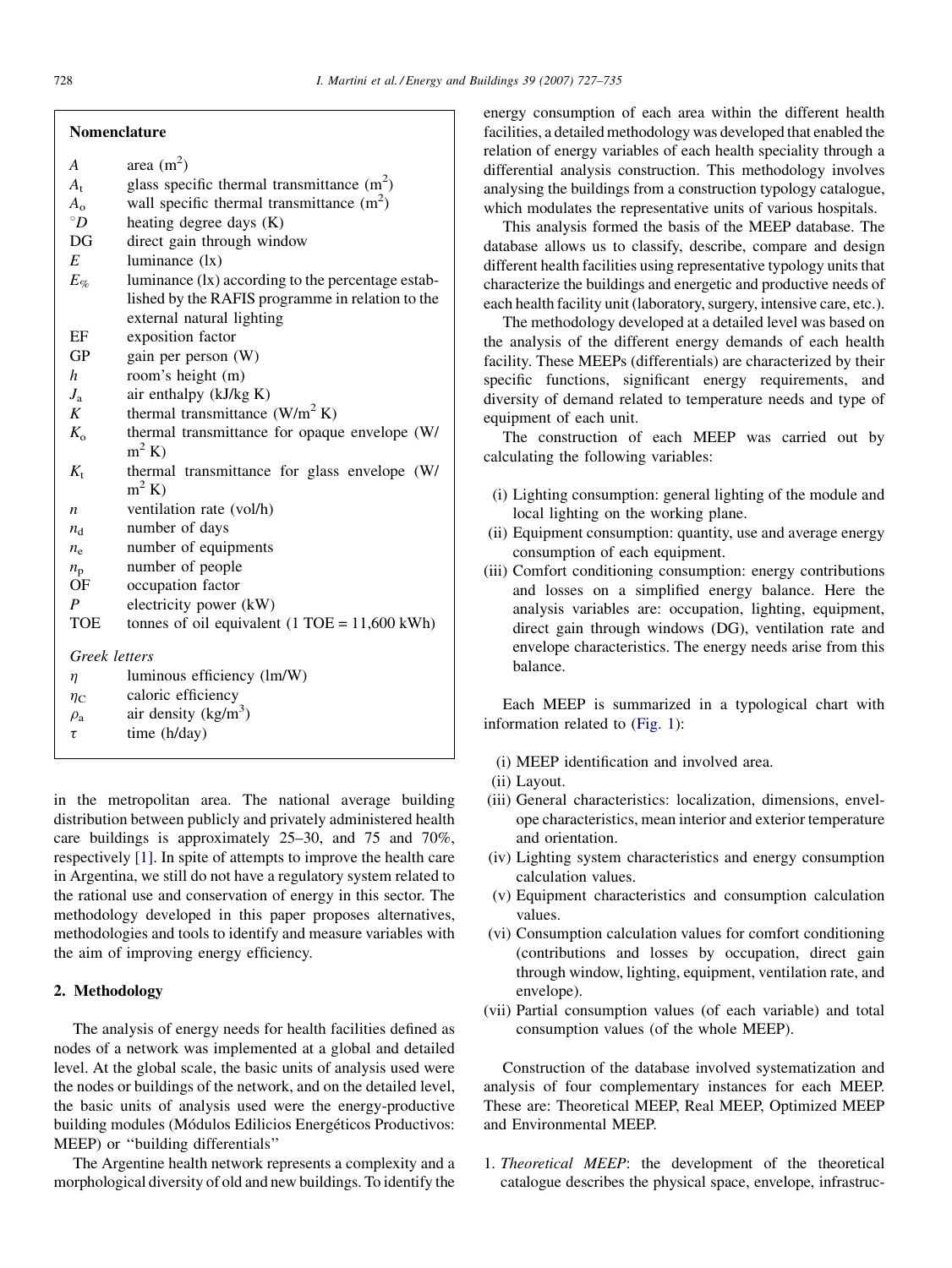#### Nomenclature

- $A_t$  glass specific thermal transmittance  $(m^2)$
- $A_0$  wall specific thermal transmittance  $(m^2)$
- $\degree D$  heating degree days (K)
- DG direct gain through window
- $E$  luminance  $(lx)$
- $E_{\%}$  luminance (lx) according to the percentage established by the RAFIS programme in relation to the external natural lighting
- EF exposition factor
- GP gain per person (W)
- h room's height (m)
- $J_a$  air enthalpy (kJ/kg K)<br>  $K$  thermal transmittance
- thermal transmittance  $(W/m^2 K)$
- $K<sub>o</sub>$  thermal transmittance for opaque envelope (W/  $m^2 K$
- $K_t$  thermal transmittance for glass envelope (W/  $m^2 K$
- $n$  ventilation rate (vol/h)
- $n_{\rm d}$  number of days
- $n_e$  number of equipments
- $n_{\rm p}$  number of people<br>OF occupation factor
- occupation factor
- P electricity power (kW)
- TOE tonnes of oil equivalent  $(1 \text{TOE} = 11,600 \text{ kWh})$

Greek letters

| luminous efficiency (lm/W) |  |
|----------------------------|--|
|                            |  |

- $\eta_C$  caloric efficiency
- $\rho_{\rm a}$  air density (kg/m<sup>3</sup>)
- $\tau$  time (h/day)

in the metropolitan area. The national average building distribution between publicly and privately administered health care buildings is approximately 25–30, and 75 and 70%, respectively [\[1\].](#page--1-0) In spite of attempts to improve the health care in Argentina, we still do not have a regulatory system related to the rational use and conservation of energy in this sector. The methodology developed in this paper proposes alternatives, methodologies and tools to identify and measure variables with the aim of improving energy efficiency.

### 2. Methodology

The analysis of energy needs for health facilities defined as nodes of a network was implemented at a global and detailed level. At the global scale, the basic units of analysis used were the nodes or buildings of the network, and on the detailed level, the basic units of analysis used were the energy-productive building modules (Módulos Edilicios Energéticos Productivos: MEEP) or ''building differentials''

The Argentine health network represents a complexity and a morphological diversity of old and new buildings. To identify the energy consumption of each area within the different health facilities, a detailed methodology was developed that enabled the relation of energy variables of each health speciality through a differential analysis construction. This methodology involves analysing the buildings from a construction typology catalogue, which modulates the representative units of various hospitals.

This analysis formed the basis of the MEEP database. The database allows us to classify, describe, compare and design different health facilities using representative typology units that characterize the buildings and energetic and productive needs of each health facility unit (laboratory, surgery, intensive care, etc.).

The methodology developed at a detailed level was based on the analysis of the different energy demands of each health facility. These MEEPs (differentials) are characterized by their specific functions, significant energy requirements, and diversity of demand related to temperature needs and type of equipment of each unit.

The construction of each MEEP was carried out by calculating the following variables:

- (i) Lighting consumption: general lighting of the module and local lighting on the working plane.
- (ii) Equipment consumption: quantity, use and average energy consumption of each equipment.
- (iii) Comfort conditioning consumption: energy contributions and losses on a simplified energy balance. Here the analysis variables are: occupation, lighting, equipment, direct gain through windows (DG), ventilation rate and envelope characteristics. The energy needs arise from this balance.

Each MEEP is summarized in a typological chart with information related to [\(Fig. 1\)](#page--1-0):

- (i) MEEP identification and involved area.
- (ii) Layout.
- (iii) General characteristics: localization, dimensions, envelope characteristics, mean interior and exterior temperature and orientation.
- (iv) Lighting system characteristics and energy consumption calculation values.
- (v) Equipment characteristics and consumption calculation values.
- (vi) Consumption calculation values for comfort conditioning (contributions and losses by occupation, direct gain through window, lighting, equipment, ventilation rate, and envelope).
- (vii) Partial consumption values (of each variable) and total consumption values (of the whole MEEP).

Construction of the database involved systematization and analysis of four complementary instances for each MEEP. These are: Theoretical MEEP, Real MEEP, Optimized MEEP and Environmental MEEP.

1. Theoretical MEEP: the development of the theoretical catalogue describes the physical space, envelope, infrastruc-